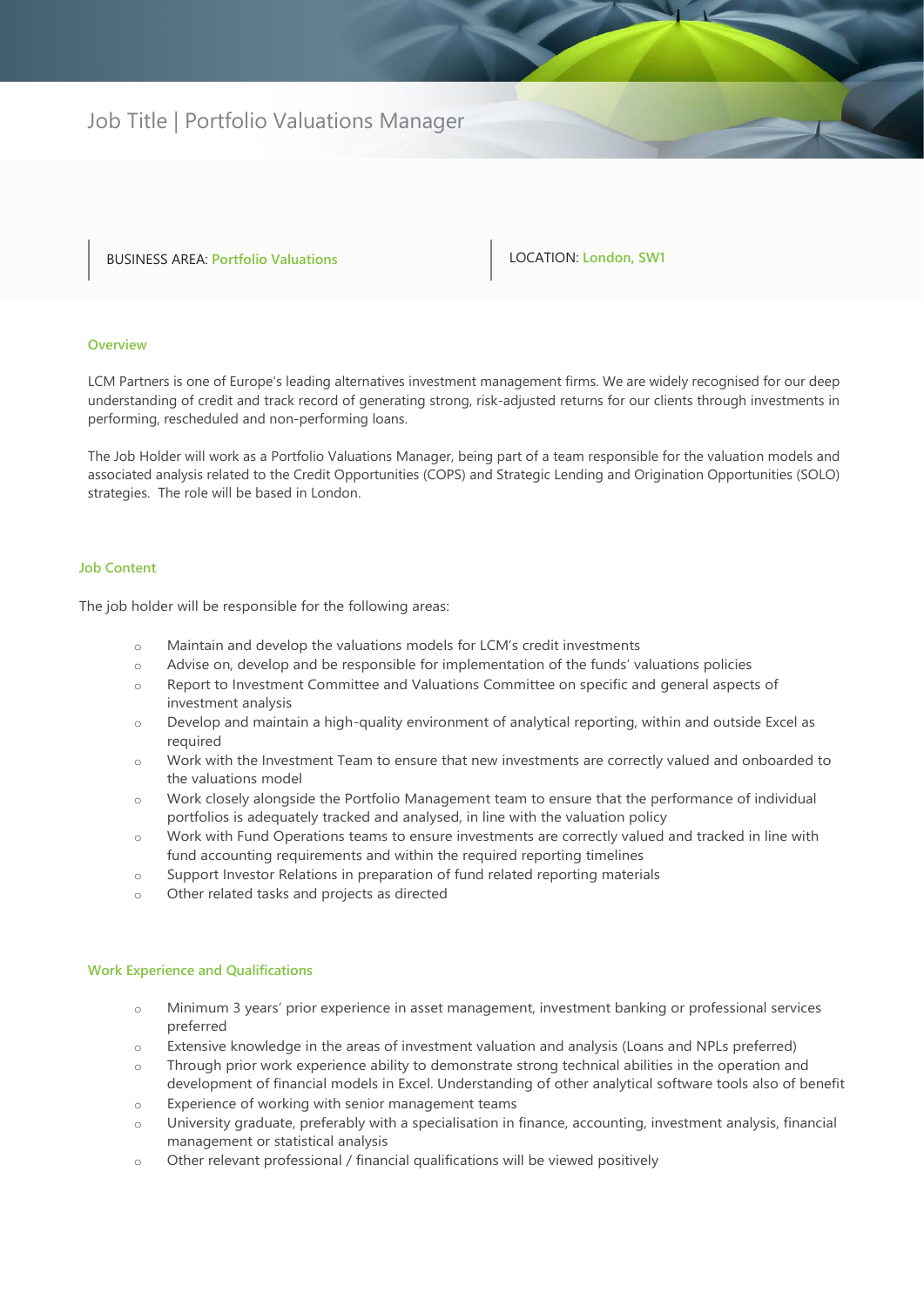## Job Title | Portfolio Valuations Manager

## BUSINESS AREA: **Portfolio Valuations** | LOCATION: London, SW1

#### **Overview**

LCM Partners is one of Europe's leading alternatives investment management firms. We are widely recognised for our deep understanding of credit and track record of generating strong, risk-adjusted returns for our clients through investments in performing, rescheduled and non-performing loans.

The Job Holder will work as a Portfolio Valuations Manager, being part of a team responsible for the valuation models and associated analysis related to the Credit Opportunities (COPS) and Strategic Lending and Origination Opportunities (SOLO) strategies. The role will be based in London.

### **Job Content**

The job holder will be responsible for the following areas:

- o Maintain and develop the valuations models for LCM's credit investments
- o Advise on, develop and be responsible for implementation of the funds' valuations policies
- o Report to Investment Committee and Valuations Committee on specific and general aspects of investment analysis
- o Develop and maintain a high-quality environment of analytical reporting, within and outside Excel as required
- o Work with the Investment Team to ensure that new investments are correctly valued and onboarded to the valuations model
- o Work closely alongside the Portfolio Management team to ensure that the performance of individual portfolios is adequately tracked and analysed, in line with the valuation policy
- o Work with Fund Operations teams to ensure investments are correctly valued and tracked in line with fund accounting requirements and within the required reporting timelines
- o Support Investor Relations in preparation of fund related reporting materials
- o Other related tasks and projects as directed

#### **Work Experience and Qualifications**

- o Minimum 3 years' prior experience in asset management, investment banking or professional services preferred
- o Extensive knowledge in the areas of investment valuation and analysis (Loans and NPLs preferred)
- o Through prior work experience ability to demonstrate strong technical abilities in the operation and development of financial models in Excel. Understanding of other analytical software tools also of benefit
- o Experience of working with senior management teams
- University graduate, preferably with a specialisation in finance, accounting, investment analysis, financial management or statistical analysis
- o Other relevant professional / financial qualifications will be viewed positively